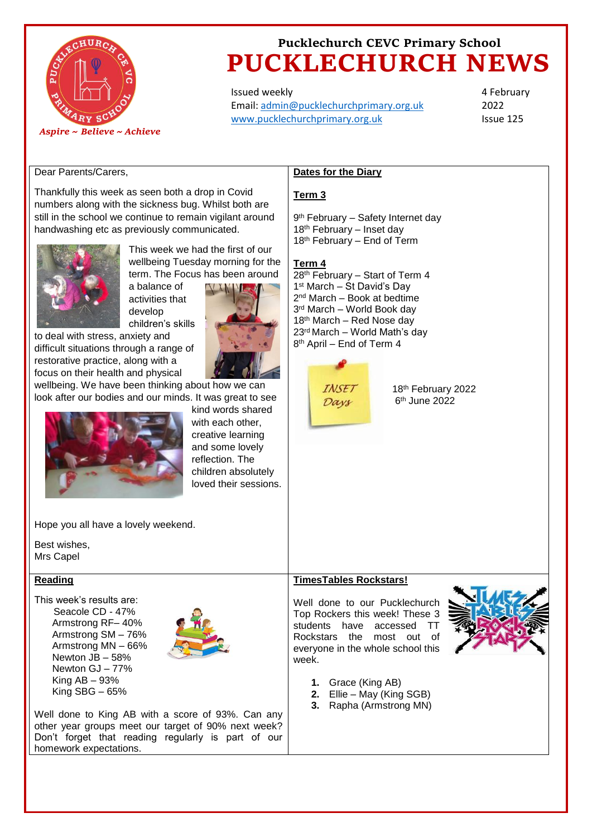

Issued weekly Email: [admin@pucklechurchprimary.org.uk](mailto:admin@pucklechurchprimary.org.uk) [www.pucklechurchprimary.org.uk](http://www.pucklechurchprimary.org.uk/)

4 February 2022 Issue 125

## Dear Parents/Carers,

Thankfully this week as seen both a drop in Covid numbers along with the sickness bug. Whilst both are still in the school we continue to remain vigilant around handwashing etc as previously communicated.



This week we had the first of our wellbeing Tuesday morning for the term. The Focus has been around

activities that develop children's skills

a balance of

to deal with stress, anxiety and difficult situations through a range of restorative practice, along with a focus on their health and physical



wellbeing. We have been thinking about how we can look after our bodies and our minds. It was great to see



kind words shared with each other. creative learning and some lovely reflection. The children absolutely loved their sessions.

#### Hope you all have a lovely weekend.

Best wishes, Mrs Capel

### **Reading**

This week's results are: Seacole CD - 47% Armstrong RF– 40% Armstrong SM – 76% Armstrong MN – 66% Newton JB – 58% Newton GJ – 77% King AB – 93% King  $SBG - 65%$ 



Well done to King AB with a score of 93%. Can any other year groups meet our target of 90% next week? Don't forget that reading regularly is part of our homework expectations.

### **Dates for the Diary**

#### **Term 3**

9<sup>th</sup> February – Safety Internet day 18th February – Inset day 18<sup>th</sup> February – End of Term

### **Term 4**

28<sup>th</sup> February – Start of Term 4 1 st March – St David's Day 2<sup>nd</sup> March – Book at bedtime 3 rd March – World Book day 18th March – Red Nose day 23rd March – World Math's day 8<sup>th</sup> April – End of Term 4



18th February 2022 6 th June 2022

# **TimesTables Rockstars!**

Well done to our Pucklechurch Top Rockers this week! These 3 students have accessed TT Rockstars the most out of everyone in the whole school this week.



- **1.** Grace (King AB)
- **2.** Ellie May (King SGB)
- **3.** Rapha (Armstrong MN)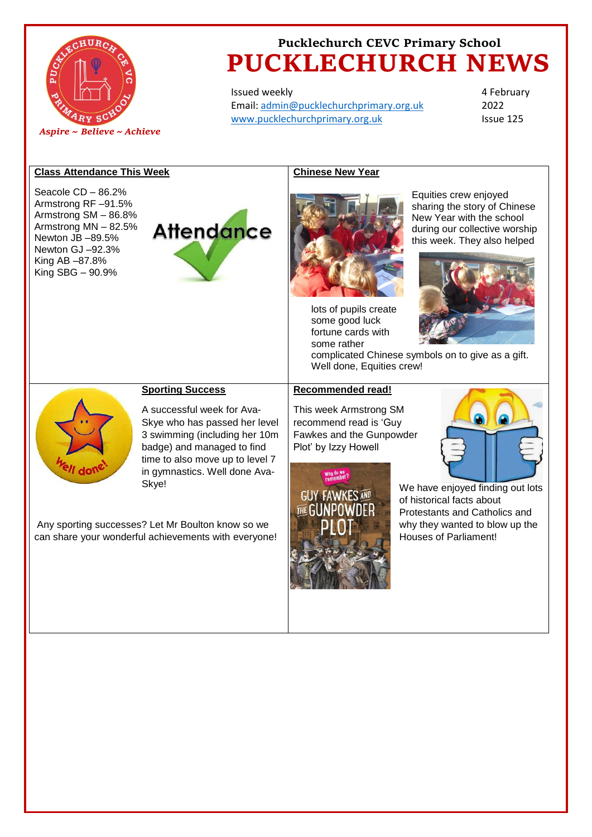

Issued weekly Email: [admin@pucklechurchprimary.org.uk](mailto:admin@pucklechurchprimary.org.uk) [www.pucklechurchprimary.org.uk](http://www.pucklechurchprimary.org.uk/)

4 February 2022 Issue 125

#### **Class Attendance This Week Chinese New Year**  Seacole CD – 86.2% Equities crew enjoyed Armstrong RF –91.5% sharing the story of Chinese Armstrong SM – 86.8% New Year with the school Armstrong MN – 82.5% **Attendance** during our collective worship Newton JB –89.5% this week. They also helped Newton GJ –92.3% King AB –87.8% King SBG – 90.9% lots of pupils create some good luck fortune cards with some rather complicated Chinese symbols on to give as a gift. Well done, Equities crew! **Recommended read! Sporting Success** A successful week for Ava-This week Armstrong SM Skye who has passed her level recommend read is 'Guy 3 swimming (including her 10m Fawkes and the Gunpowder badge) and managed to find Plot' by Izzy Howell time to also move up to level 7 in gymnastics. Well done Ava-Why do we<br>comember? Skye! We have enjoyed finding out lots **GUY FAWKES AND** of historical facts about  $\overline{H}$ <sub> $F$ </sub> $G$ Protestants and Catholics and Any sporting successes? Let Mr Boulton know so we why they wanted to blow up the Houses of Parliament! can share your wonderful achievements with everyone!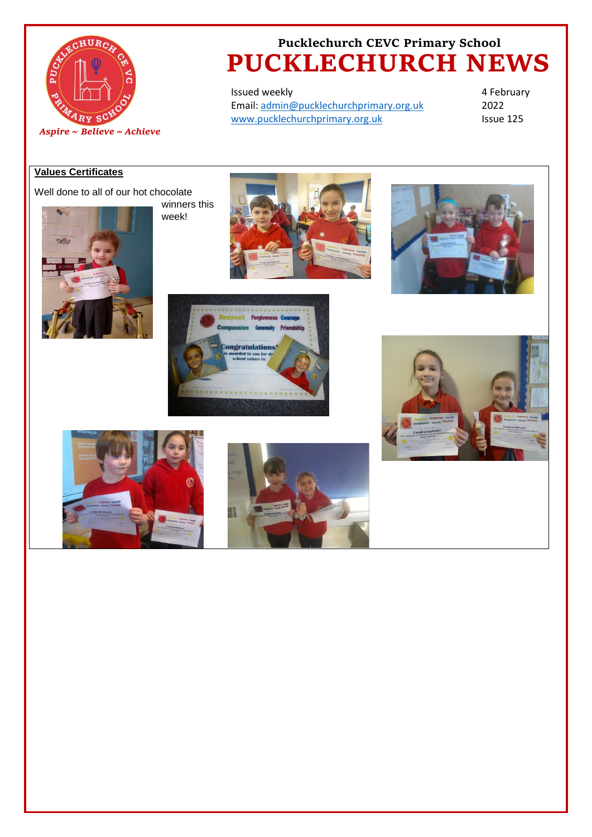

Issued weekly Email: [admin@pucklechurchprimary.org.uk](mailto:admin@pucklechurchprimary.org.uk) [www.pucklechurchprimary.org.uk](http://www.pucklechurchprimary.org.uk/)

4 February 2022 Issue 125

# **Values Certificates**

Well done to all of our hot chocolate



winners this week!